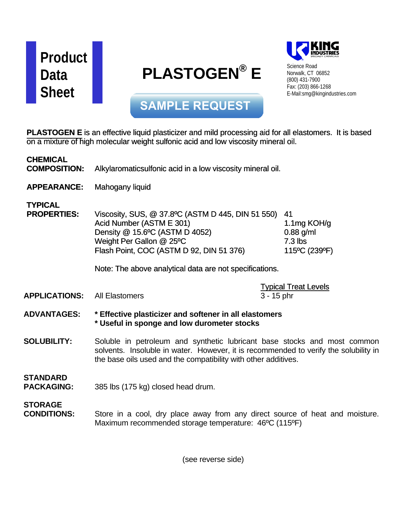

## **PLASTOGEN® E**



Science Road Norwalk, CT 06852 (800) 431-7900 Fax: (203) 866-1268 E-Mail:smg@kingindustries.com

**SAMPLE REQUEST**

**PLASTOGEN** E is an effective liquid plasticizer and mild processing aid for all elastomers. It is based on a mixture of high molecular weight sulfonic acid and low viscosity mineral oil.

| <b>CHEMICAL</b><br><b>COMPOSITION:</b> | Alkylaromatic sulfonic acid in a low viscosity mineral oil.                                                                                                                                                                                        |                                                                   |
|----------------------------------------|----------------------------------------------------------------------------------------------------------------------------------------------------------------------------------------------------------------------------------------------------|-------------------------------------------------------------------|
| <b>APPEARANCE:</b>                     | Mahogany liquid                                                                                                                                                                                                                                    |                                                                   |
| <b>TYPICAL</b><br><b>PROPERTIES:</b>   | Viscosity, SUS, @ 37.8°C (ASTM D 445, DIN 51 550)<br>Acid Number (ASTM E 301)<br>Density @ 15.6°C (ASTM D 4052)<br>Weight Per Gallon @ 25°C<br>Flash Point, COC (ASTM D 92, DIN 51 376)<br>Note: The above analytical data are not specifications. | 41<br>1.1 $mg$ KOH/g<br>$0.88$ g/ml<br>$7.3$ lbs<br>115°C (239°F) |
|                                        |                                                                                                                                                                                                                                                    | <b>Typical Treat Levels</b>                                       |
| <b>APPLICATIONS:</b>                   | <b>All Elastomers</b>                                                                                                                                                                                                                              | $3 - 15$ phr                                                      |
| <b>ADVANTAGES:</b>                     | * Effective plasticizer and softener in all elastomers<br>* Useful in sponge and low durometer stocks                                                                                                                                              |                                                                   |
| <b>SOLUBILITY:</b>                     | Soluble in petroleum and synthetic lubricant base stocks and most common<br>solvents. Insoluble in water. However, it is recommended to verify the solubility in<br>the base oils used and the compatibility with other additives.                 |                                                                   |
| <b>STANDARD</b><br><b>PACKAGING:</b>   | 385 lbs (175 kg) closed head drum.                                                                                                                                                                                                                 |                                                                   |
| <b>STORAGE</b><br><b>CONDITIONS:</b>   | Store in a cool, dry place away from any direct source of heat and moisture.<br>Maximum recommended storage temperature: 46°C (115°F)                                                                                                              |                                                                   |

(see reverse side)